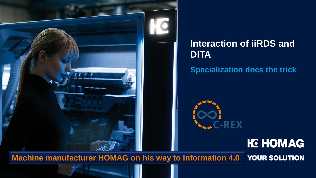

## **Interaction of iiRDS and DITA**

**Specialization does the trick**



# **HC HOMAG**

**Machine manufacturer HOMAG on his way to Information 4.0**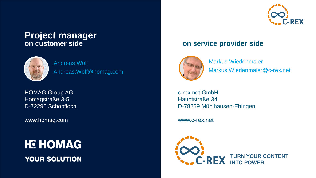# **Project manager**<br>on customer side



Andreas Wolf Andreas.Wolf@homag.com

HOMAG Group AG Homagstraße 3-5 D-72296 Schopfloch

www.homag.com

**HC HOMAG YOUR SOLUTION** 



#### **on customer side on service provider side**



Markus Wiedenmaier Markus.Wiedenmaier@c-rex.net

c-rex.net GmbH Hauptstraße 34 D-78259 Mühlhausen-Ehingen

www.c-rex.net

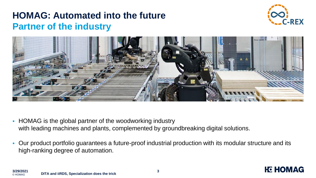## **HOMAG: Automated into the future Partner of the industry**



**HE HOMAG** 



- HOMAG is the global partner of the woodworking industry with leading machines and plants, complemented by groundbreaking digital solutions.
- Our product portfolio guarantees a future-proof industrial production with its modular structure and its high-ranking degree of automation.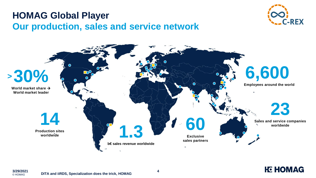## **HOMAG Global Player Our production, sales and service network**







© HOMAG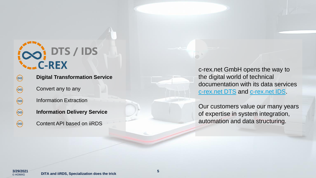

| $(\infty)$ | <b>Digital Transformation Service</b> |
|------------|---------------------------------------|
| $(\infty)$ | Convert any to any                    |
| $(\infty)$ | <b>Information Extraction</b>         |
| $(\infty)$ | <b>Information Delivery Service</b>   |
| (00)       | Content API based on iiRDS            |

c-rex.net GmbH opens the way to the digital world of technical documentation with its data services [c-rex.net DTS](https://dts.c-rex.net/) and [c-rex.net IDS.](https://ids.c-rex.net/)

Our customers value our many years of expertise in system integration, automation and data structuring.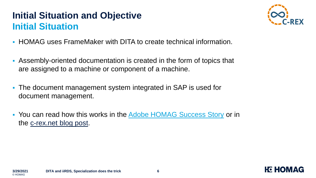# **Initial Situation and Objective Initial Situation**



**HG HOMAG** 

- HOMAG uses FrameMaker with DITA to create technical information.
- Assembly-oriented documentation is created in the form of topics that are assigned to a machine or component of a machine.
- The document management system integrated in SAP is used for document management.
- You can read how this works in the [Adobe HOMAG Success Story](https://business.adobe.com/customer-success-stories/homag-group-case-study.html) or in the [c-rex.net blog post.](https://blog.c-rex.net/de-DE/posts/Homag-success-1.html)

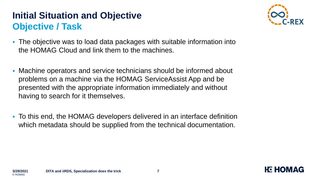# **Initial Situation and Objective Objective / Task**



**HC HOM** 

- The objective was to load data packages with suitable information into the HOMAG Cloud and link them to the machines.
- Machine operators and service technicians should be informed about problems on a machine via the HOMAG ServiceAssist App and be presented with the appropriate information immediately and without having to search for it themselves.
- To this end, the HOMAG developers delivered in an interface definition which metadata should be supplied from the technical documentation.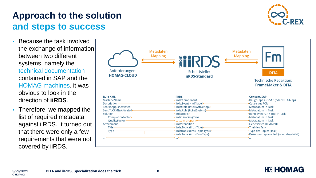#### **Approach to the solution and steps to success**

- Because the task involved the exchange of information between two different systems, namely the technical documentation contained in SAP and the HOMAG machines, it was obvious to look in the direction of **iiRDS**.
- **Therefore, we mapped the** list of required metadata against iiRDS. It turned out that there were only a few requirements that were not covered by iiRDS.





**HE HOMAG**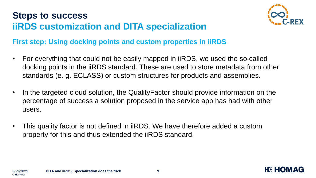# **Steps to success iiRDS customization and DITA specialization**



**HG HOM** 

#### **First step: Using docking points and custom properties in iiRDS**

- For everything that could not be easily mapped in iiRDS, we used the so-called docking points in the iiRDS standard. These are used to store metadata from other standards (e. g. ECLASS) or custom structures for products and assemblies.
- In the targeted cloud solution, the QualityFactor should provide information on the percentage of success a solution proposed in the service app has had with other users.
- This quality factor is not defined in iiRDS. We have therefore added a custom property for this and thus extended the iiRDS standard.

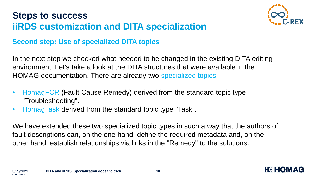# **Steps to success iiRDS customization and DITA specialization**



**HC HOM** 

#### **Second step: Use of specialized DITA topics**

In the next step we checked what needed to be changed in the existing DITA editing environment. Let's take a look at the DITA structures that were available in the HOMAG documentation. There are already two specialized topics.

- HomagFCR (Fault Cause Remedy) derived from the standard topic type "Troubleshooting".
- HomagTask derived from the standard topic type "Task".

We have extended these two specialized topic types in such a way that the authors of fault descriptions can, on the one hand, define the required metadata and, on the other hand, establish relationships via links in the "Remedy" to the solutions.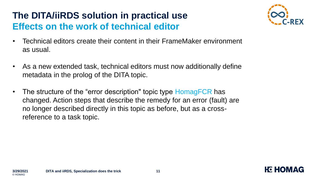# **The DITA/iiRDS solution in practical use Effects on the work of technical editor**



**HC HOM** 

- Technical editors create their content in their FrameMaker environment as usual.
- As a new extended task, technical editors must now additionally define metadata in the prolog of the DITA topic.
- The structure of the "error description" topic type HomagFCR has changed. Action steps that describe the remedy for an error (fault) are no longer described directly in this topic as before, but as a crossreference to a task topic.

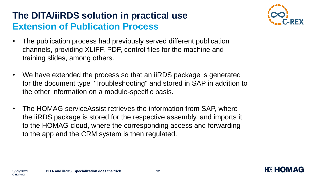# **The DITA/iiRDS solution in practical use Extension of Publication Process**



**HC HOM** 

- The publication process had previously served different publication channels, providing XLIFF, PDF, control files for the machine and training slides, among others.
- We have extended the process so that an iiRDS package is generated for the document type "Troubleshooting" and stored in SAP in addition to the other information on a module-specific basis.
- The HOMAG serviceAssist retrieves the information from SAP, where the iiRDS package is stored for the respective assembly, and imports it to the HOMAG cloud, where the corresponding access and forwarding to the app and the CRM system is then regulated.

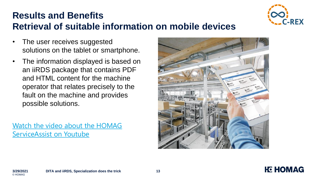

#### **Results and Benefits Retrieval of suitable information on mobile devices**

- The user receives suggested solutions on the tablet or smartphone.
- The information displayed is based on an iiRDS package that contains PDF and HTML content for the machine operator that relates precisely to the fault on the machine and provides possible solutions.

[Watch the video about the HOMAG](https://www.youtube.com/embed/aOzEgkK-X-M) ServiceAssist on Youtube





© HOMAG